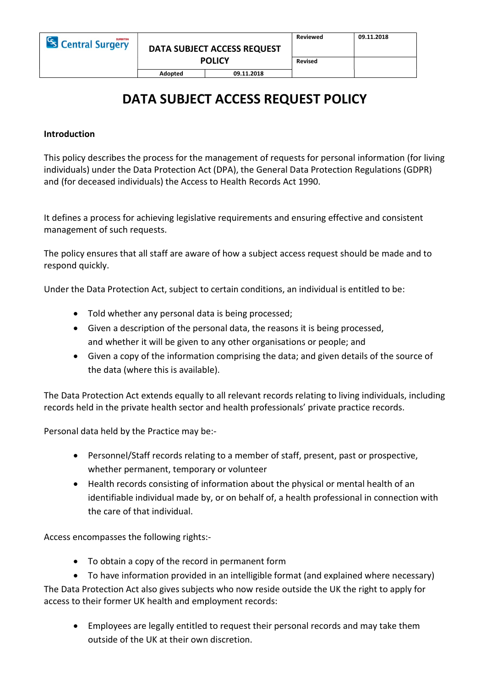Adopted 09.11.2018

# DATA SUBJECT ACCESS REQUEST POLICY

#### Introduction

This policy describes the process for the management of requests for personal information (for living individuals) under the Data Protection Act (DPA), the General Data Protection Regulations (GDPR) and (for deceased individuals) the Access to Health Records Act 1990.

It defines a process for achieving legislative requirements and ensuring effective and consistent management of such requests.

The policy ensures that all staff are aware of how a subject access request should be made and to respond quickly.

Under the Data Protection Act, subject to certain conditions, an individual is entitled to be:

- Told whether any personal data is being processed;
- Given a description of the personal data, the reasons it is being processed, and whether it will be given to any other organisations or people; and
- Given a copy of the information comprising the data; and given details of the source of the data (where this is available).

The Data Protection Act extends equally to all relevant records relating to living individuals, including records held in the private health sector and health professionals' private practice records.

Personal data held by the Practice may be:-

- Personnel/Staff records relating to a member of staff, present, past or prospective, whether permanent, temporary or volunteer
- Health records consisting of information about the physical or mental health of an identifiable individual made by, or on behalf of, a health professional in connection with the care of that individual.

Access encompasses the following rights:-

- To obtain a copy of the record in permanent form
- To have information provided in an intelligible format (and explained where necessary)

The Data Protection Act also gives subjects who now reside outside the UK the right to apply for access to their former UK health and employment records:

 Employees are legally entitled to request their personal records and may take them outside of the UK at their own discretion.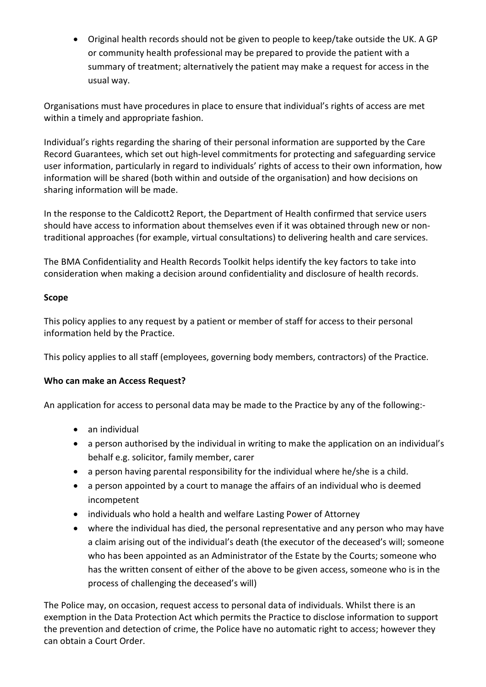Original health records should not be given to people to keep/take outside the UK. A GP or community health professional may be prepared to provide the patient with a summary of treatment; alternatively the patient may make a request for access in the usual way.

Organisations must have procedures in place to ensure that individual's rights of access are met within a timely and appropriate fashion.

Individual's rights regarding the sharing of their personal information are supported by the Care Record Guarantees, which set out high-level commitments for protecting and safeguarding service user information, particularly in regard to individuals' rights of access to their own information, how information will be shared (both within and outside of the organisation) and how decisions on sharing information will be made.

In the response to the Caldicott2 Report, the Department of Health confirmed that service users should have access to information about themselves even if it was obtained through new or nontraditional approaches (for example, virtual consultations) to delivering health and care services.

The BMA Confidentiality and Health Records Toolkit helps identify the key factors to take into consideration when making a decision around confidentiality and disclosure of health records.

## Scope

This policy applies to any request by a patient or member of staff for access to their personal information held by the Practice.

This policy applies to all staff (employees, governing body members, contractors) of the Practice.

# Who can make an Access Request?

An application for access to personal data may be made to the Practice by any of the following:-

- an individual
- a person authorised by the individual in writing to make the application on an individual's behalf e.g. solicitor, family member, carer
- a person having parental responsibility for the individual where he/she is a child.
- a person appointed by a court to manage the affairs of an individual who is deemed incompetent
- individuals who hold a health and welfare Lasting Power of Attorney
- where the individual has died, the personal representative and any person who may have a claim arising out of the individual's death (the executor of the deceased's will; someone who has been appointed as an Administrator of the Estate by the Courts; someone who has the written consent of either of the above to be given access, someone who is in the process of challenging the deceased's will)

The Police may, on occasion, request access to personal data of individuals. Whilst there is an exemption in the Data Protection Act which permits the Practice to disclose information to support the prevention and detection of crime, the Police have no automatic right to access; however they can obtain a Court Order.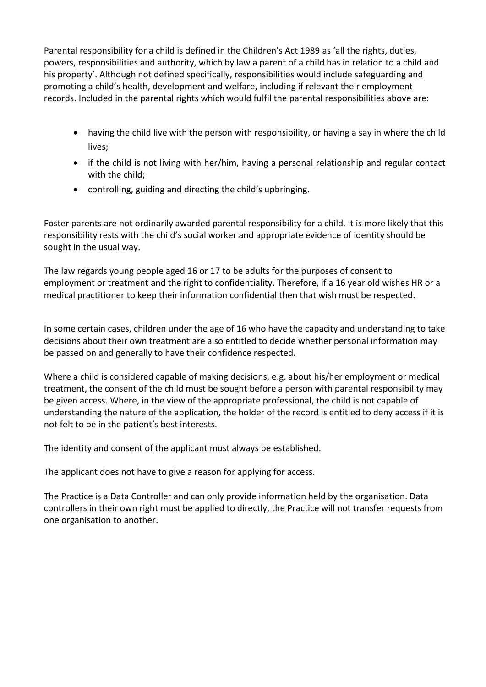Parental responsibility for a child is defined in the Children's Act 1989 as 'all the rights, duties, powers, responsibilities and authority, which by law a parent of a child has in relation to a child and his property'. Although not defined specifically, responsibilities would include safeguarding and promoting a child's health, development and welfare, including if relevant their employment records. Included in the parental rights which would fulfil the parental responsibilities above are:

- having the child live with the person with responsibility, or having a say in where the child lives;
- if the child is not living with her/him, having a personal relationship and regular contact with the child;
- controlling, guiding and directing the child's upbringing.

Foster parents are not ordinarily awarded parental responsibility for a child. It is more likely that this responsibility rests with the child's social worker and appropriate evidence of identity should be sought in the usual way.

The law regards young people aged 16 or 17 to be adults for the purposes of consent to employment or treatment and the right to confidentiality. Therefore, if a 16 year old wishes HR or a medical practitioner to keep their information confidential then that wish must be respected.

In some certain cases, children under the age of 16 who have the capacity and understanding to take decisions about their own treatment are also entitled to decide whether personal information may be passed on and generally to have their confidence respected.

Where a child is considered capable of making decisions, e.g. about his/her employment or medical treatment, the consent of the child must be sought before a person with parental responsibility may be given access. Where, in the view of the appropriate professional, the child is not capable of understanding the nature of the application, the holder of the record is entitled to deny access if it is not felt to be in the patient's best interests.

The identity and consent of the applicant must always be established.

The applicant does not have to give a reason for applying for access.

The Practice is a Data Controller and can only provide information held by the organisation. Data controllers in their own right must be applied to directly, the Practice will not transfer requests from one organisation to another.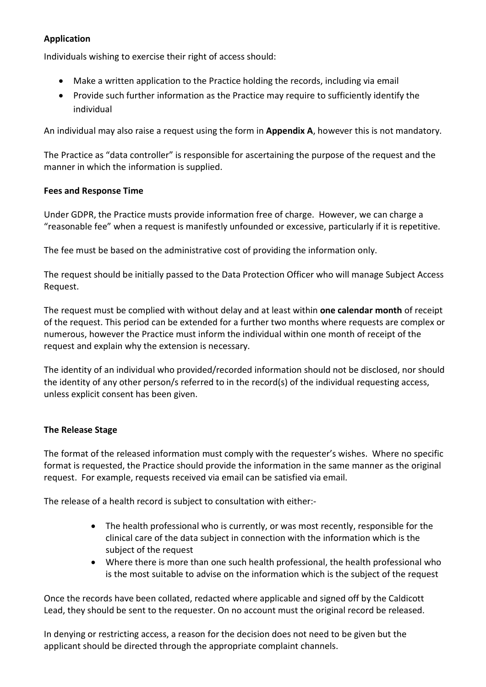## Application

Individuals wishing to exercise their right of access should:

- Make a written application to the Practice holding the records, including via email
- Provide such further information as the Practice may require to sufficiently identify the individual

An individual may also raise a request using the form in **Appendix A**, however this is not mandatory.

The Practice as "data controller" is responsible for ascertaining the purpose of the request and the manner in which the information is supplied.

#### Fees and Response Time

Under GDPR, the Practice musts provide information free of charge. However, we can charge a "reasonable fee" when a request is manifestly unfounded or excessive, particularly if it is repetitive.

The fee must be based on the administrative cost of providing the information only.

The request should be initially passed to the Data Protection Officer who will manage Subject Access Request.

The request must be complied with without delay and at least within one calendar month of receipt of the request. This period can be extended for a further two months where requests are complex or numerous, however the Practice must inform the individual within one month of receipt of the request and explain why the extension is necessary.

The identity of an individual who provided/recorded information should not be disclosed, nor should the identity of any other person/s referred to in the record(s) of the individual requesting access, unless explicit consent has been given.

## The Release Stage

The format of the released information must comply with the requester's wishes. Where no specific format is requested, the Practice should provide the information in the same manner as the original request. For example, requests received via email can be satisfied via email.

The release of a health record is subject to consultation with either:-

- The health professional who is currently, or was most recently, responsible for the clinical care of the data subject in connection with the information which is the subject of the request
- Where there is more than one such health professional, the health professional who is the most suitable to advise on the information which is the subject of the request

Once the records have been collated, redacted where applicable and signed off by the Caldicott Lead, they should be sent to the requester. On no account must the original record be released.

In denying or restricting access, a reason for the decision does not need to be given but the applicant should be directed through the appropriate complaint channels.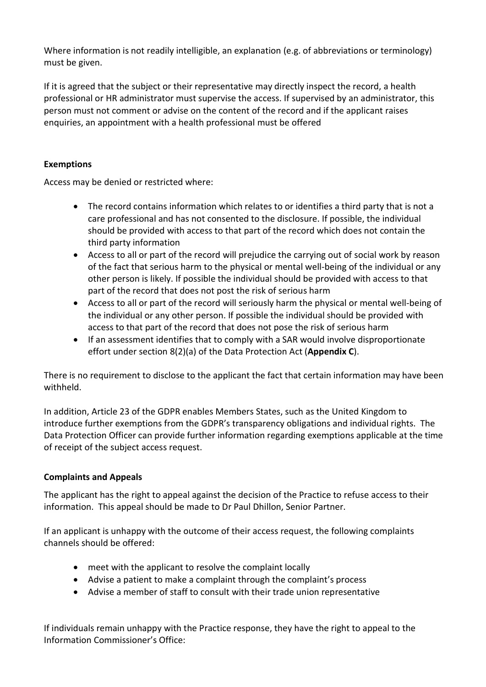Where information is not readily intelligible, an explanation (e.g. of abbreviations or terminology) must be given.

If it is agreed that the subject or their representative may directly inspect the record, a health professional or HR administrator must supervise the access. If supervised by an administrator, this person must not comment or advise on the content of the record and if the applicant raises enquiries, an appointment with a health professional must be offered

## Exemptions

Access may be denied or restricted where:

- The record contains information which relates to or identifies a third party that is not a care professional and has not consented to the disclosure. If possible, the individual should be provided with access to that part of the record which does not contain the third party information
- Access to all or part of the record will prejudice the carrying out of social work by reason of the fact that serious harm to the physical or mental well-being of the individual or any other person is likely. If possible the individual should be provided with access to that part of the record that does not post the risk of serious harm
- Access to all or part of the record will seriously harm the physical or mental well-being of the individual or any other person. If possible the individual should be provided with access to that part of the record that does not pose the risk of serious harm
- If an assessment identifies that to comply with a SAR would involve disproportionate effort under section 8(2)(a) of the Data Protection Act (Appendix C).

There is no requirement to disclose to the applicant the fact that certain information may have been withheld.

In addition, Article 23 of the GDPR enables Members States, such as the United Kingdom to introduce further exemptions from the GDPR's transparency obligations and individual rights. The Data Protection Officer can provide further information regarding exemptions applicable at the time of receipt of the subject access request.

# Complaints and Appeals

The applicant has the right to appeal against the decision of the Practice to refuse access to their information. This appeal should be made to Dr Paul Dhillon, Senior Partner.

If an applicant is unhappy with the outcome of their access request, the following complaints channels should be offered:

- meet with the applicant to resolve the complaint locally
- Advise a patient to make a complaint through the complaint's process
- Advise a member of staff to consult with their trade union representative

If individuals remain unhappy with the Practice response, they have the right to appeal to the Information Commissioner's Office: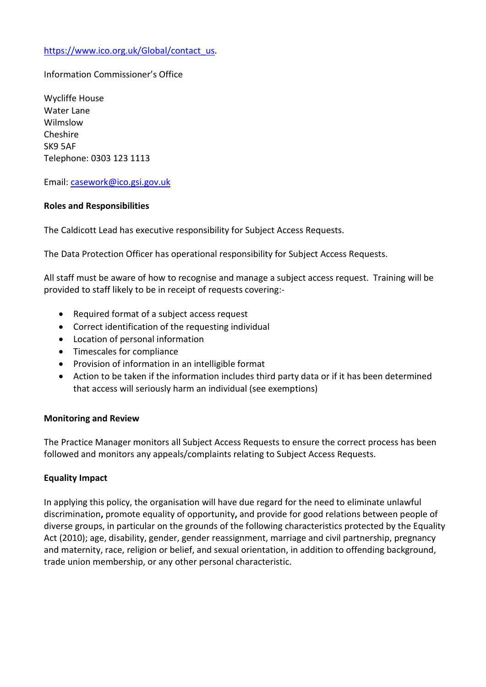### https://www.ico.org.uk/Global/contact\_us.

## Information Commissioner's Office

Wycliffe House Water Lane Wilmslow Cheshire SK9 5AF Telephone: 0303 123 1113

Email: casework@ico.gsi.gov.uk

#### Roles and Responsibilities

The Caldicott Lead has executive responsibility for Subject Access Requests.

The Data Protection Officer has operational responsibility for Subject Access Requests.

All staff must be aware of how to recognise and manage a subject access request. Training will be provided to staff likely to be in receipt of requests covering:-

- Required format of a subject access request
- Correct identification of the requesting individual
- Location of personal information
- Timescales for compliance
- Provision of information in an intelligible format
- Action to be taken if the information includes third party data or if it has been determined that access will seriously harm an individual (see exemptions)

#### Monitoring and Review

The Practice Manager monitors all Subject Access Requests to ensure the correct process has been followed and monitors any appeals/complaints relating to Subject Access Requests.

#### Equality Impact

In applying this policy, the organisation will have due regard for the need to eliminate unlawful discrimination, promote equality of opportunity, and provide for good relations between people of diverse groups, in particular on the grounds of the following characteristics protected by the Equality Act (2010); age, disability, gender, gender reassignment, marriage and civil partnership, pregnancy and maternity, race, religion or belief, and sexual orientation, in addition to offending background, trade union membership, or any other personal characteristic.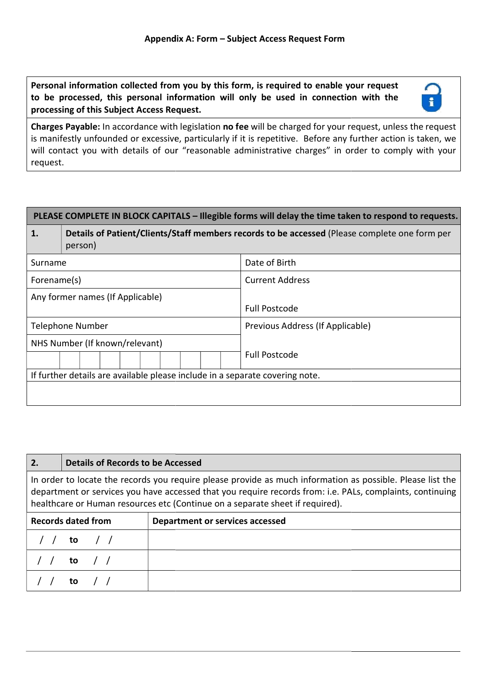Personal information collected from you by this form, is required to enable your request to be processed, this personal information will only be used in connection with the processing of this Subject Access Request.



processing of this Subject Access Request.<br>
Charges Payable: In accordance with legislation no fee will be charged for your request, unless the request is manifestly unfounded or excessive, particularly if it is repetitive. Before any further action is taken, we is manifestly unfounded or excessive, particularly if it is repetitive. Before any further action is taken, we<br>will contact you with details of our "reasonable administrative charges" in order to comply with your request.

| PLEASE COMPLETE IN BLOCK CAPITALS – Illegible forms will delay the time taken to respond to requests.          |                                                                                                          |                                  |  |  |  |  |
|----------------------------------------------------------------------------------------------------------------|----------------------------------------------------------------------------------------------------------|----------------------------------|--|--|--|--|
| 1.                                                                                                             | Details of Patient/Clients/Staff members records to be accessed (Please complete one form per<br>person) |                                  |  |  |  |  |
| Surname                                                                                                        |                                                                                                          | Date of Birth                    |  |  |  |  |
| Forename(s)                                                                                                    |                                                                                                          | <b>Current Address</b>           |  |  |  |  |
| Any former names (If Applicable)                                                                               |                                                                                                          | <b>Full Postcode</b>             |  |  |  |  |
| <b>Telephone Number</b>                                                                                        |                                                                                                          | Previous Address (If Applicable) |  |  |  |  |
| NHS Number (If known/relevant)<br>If further details are available please include in a separate covering note. |                                                                                                          | <b>Full Postcode</b>             |  |  |  |  |
|                                                                                                                |                                                                                                          |                                  |  |  |  |  |

| 2.                                                                                                                                                                                                                                                                                                       | Details of Records to be Accessed |  |  |  |  |  |
|----------------------------------------------------------------------------------------------------------------------------------------------------------------------------------------------------------------------------------------------------------------------------------------------------------|-----------------------------------|--|--|--|--|--|
| In order to locate the records you require please provide as much information as possible. Please list the<br>department or services you have accessed that you require records from: i.e. PALs, complaints, continuing<br>healthcare or Human resources etc (Continue on a separate sheet if required). |                                   |  |  |  |  |  |
| <b>Records dated from</b><br>Department or services accessed                                                                                                                                                                                                                                             |                                   |  |  |  |  |  |
|                                                                                                                                                                                                                                                                                                          | to / /                            |  |  |  |  |  |
|                                                                                                                                                                                                                                                                                                          | to / /                            |  |  |  |  |  |
|                                                                                                                                                                                                                                                                                                          | to                                |  |  |  |  |  |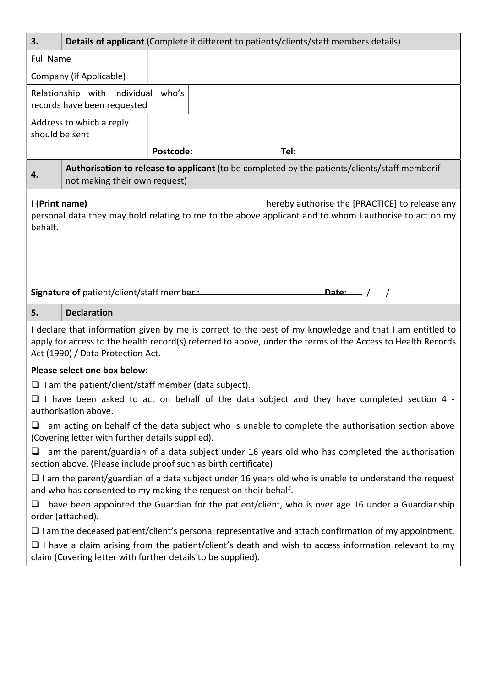| 3.                                                                                                                                                                                                                                                          |                                                                                                              |                                                             | Details of applicant (Complete if different to patients/clients/staff members details)            |  |  |  |
|-------------------------------------------------------------------------------------------------------------------------------------------------------------------------------------------------------------------------------------------------------------|--------------------------------------------------------------------------------------------------------------|-------------------------------------------------------------|---------------------------------------------------------------------------------------------------|--|--|--|
| <b>Full Name</b>                                                                                                                                                                                                                                            |                                                                                                              |                                                             |                                                                                                   |  |  |  |
|                                                                                                                                                                                                                                                             | Company (if Applicable)                                                                                      |                                                             |                                                                                                   |  |  |  |
|                                                                                                                                                                                                                                                             | Relationship with individual who's<br>records have been requested                                            |                                                             |                                                                                                   |  |  |  |
| Address to which a reply<br>should be sent                                                                                                                                                                                                                  |                                                                                                              |                                                             |                                                                                                   |  |  |  |
|                                                                                                                                                                                                                                                             |                                                                                                              | Postcode:                                                   | Tel:                                                                                              |  |  |  |
| 4.                                                                                                                                                                                                                                                          | not making their own request)                                                                                |                                                             | Authorisation to release to applicant (to be completed by the patients/clients/staff memberif     |  |  |  |
| I (Print name)<br>hereby authorise the [PRACTICE] to release any<br>personal data they may hold relating to me to the above applicant and to whom I authorise to act on my<br>behalf.                                                                       |                                                                                                              |                                                             |                                                                                                   |  |  |  |
|                                                                                                                                                                                                                                                             | Signature of patient/client/staff member:<br>Date: $\frac{1}{1}$ /                                           |                                                             |                                                                                                   |  |  |  |
| 5.                                                                                                                                                                                                                                                          | <b>Declaration</b>                                                                                           |                                                             |                                                                                                   |  |  |  |
| I declare that information given by me is correct to the best of my knowledge and that I am entitled to<br>apply for access to the health record(s) referred to above, under the terms of the Access to Health Records<br>Act (1990) / Data Protection Act. |                                                                                                              |                                                             |                                                                                                   |  |  |  |
|                                                                                                                                                                                                                                                             | Please select one box below:                                                                                 |                                                             |                                                                                                   |  |  |  |
|                                                                                                                                                                                                                                                             |                                                                                                              | $\Box$ I am the patient/client/staff member (data subject). |                                                                                                   |  |  |  |
|                                                                                                                                                                                                                                                             | authorisation above.                                                                                         |                                                             | $\Box$ I have been asked to act on behalf of the data subject and they have completed section 4 - |  |  |  |
| $\Box$ I am acting on behalf of the data subject who is unable to complete the authorisation section above<br>(Covering letter with further details supplied).                                                                                              |                                                                                                              |                                                             |                                                                                                   |  |  |  |
| $\Box$ I am the parent/guardian of a data subject under 16 years old who has completed the authorisation<br>section above. (Please include proof such as birth certificate)                                                                                 |                                                                                                              |                                                             |                                                                                                   |  |  |  |
| $\Box$ I am the parent/guardian of a data subject under 16 years old who is unable to understand the request<br>and who has consented to my making the request on their behalf.                                                                             |                                                                                                              |                                                             |                                                                                                   |  |  |  |
| $\Box$ I have been appointed the Guardian for the patient/client, who is over age 16 under a Guardianship<br>order (attached).                                                                                                                              |                                                                                                              |                                                             |                                                                                                   |  |  |  |
|                                                                                                                                                                                                                                                             | $\Box$ I am the deceased patient/client's personal representative and attach confirmation of my appointment. |                                                             |                                                                                                   |  |  |  |
| $\Box$ I have a claim arising from the patient/client's death and wish to access information relevant to my<br>claim (Covering letter with further details to be supplied).                                                                                 |                                                                                                              |                                                             |                                                                                                   |  |  |  |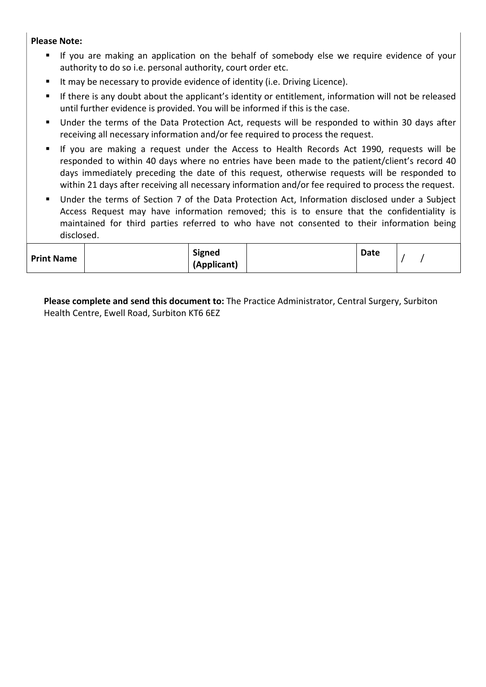#### Please Note:

- If you are making an application on the behalf of somebody else we require evidence of your authority to do so i.e. personal authority, court order etc.
- It may be necessary to provide evidence of identity (i.e. Driving Licence).
- If there is any doubt about the applicant's identity or entitlement, information will not be released until further evidence is provided. You will be informed if this is the case.
- Under the terms of the Data Protection Act, requests will be responded to within 30 days after receiving all necessary information and/or fee required to process the request.
- If you are making a request under the Access to Health Records Act 1990, requests will be responded to within 40 days where no entries have been made to the patient/client's record 40 days immediately preceding the date of this request, otherwise requests will be responded to within 21 days after receiving all necessary information and/or fee required to process the request.
- Under the terms of Section 7 of the Data Protection Act, Information disclosed under a Subject Access Request may have information removed; this is to ensure that the confidentiality is maintained for third parties referred to who have not consented to their information being disclosed.

| <b>Print Name</b> | Signed<br>(Applicant) |  | <b>Date</b> |  |
|-------------------|-----------------------|--|-------------|--|
|-------------------|-----------------------|--|-------------|--|

Please complete and send this document to: The Practice Administrator, Central Surgery, Surbiton Health Centre, Ewell Road, Surbiton KT6 6EZ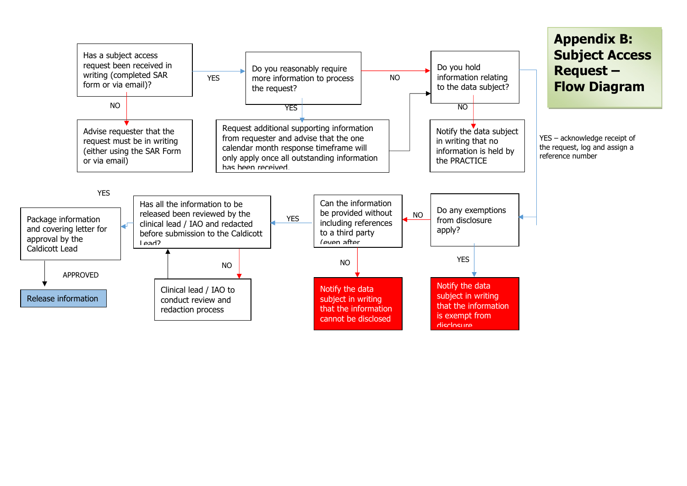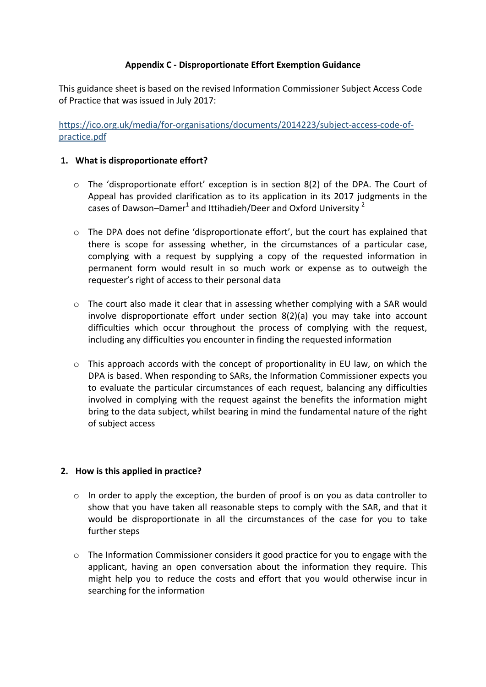## Appendix C - Disproportionate Effort Exemption Guidance

This guidance sheet is based on the revised Information Commissioner Subject Access Code of Practice that was issued in July 2017:

https://ico.org.uk/media/for-organisations/documents/2014223/subject-access-code-ofpractice.pdf

### 1. What is disproportionate effort?

- $\circ$  The 'disproportionate effort' exception is in section 8(2) of the DPA. The Court of Appeal has provided clarification as to its application in its 2017 judgments in the cases of Dawson–Damer<sup>1</sup> and Ittihadieh/Deer and Oxford University  $^2$
- o The DPA does not define 'disproportionate effort', but the court has explained that there is scope for assessing whether, in the circumstances of a particular case, complying with a request by supplying a copy of the requested information in permanent form would result in so much work or expense as to outweigh the requester's right of access to their personal data
- $\circ$  The court also made it clear that in assessing whether complying with a SAR would involve disproportionate effort under section 8(2)(a) you may take into account difficulties which occur throughout the process of complying with the request, including any difficulties you encounter in finding the requested information
- $\circ$  This approach accords with the concept of proportionality in EU law, on which the DPA is based. When responding to SARs, the Information Commissioner expects you to evaluate the particular circumstances of each request, balancing any difficulties involved in complying with the request against the benefits the information might bring to the data subject, whilst bearing in mind the fundamental nature of the right of subject access

## 2. How is this applied in practice?

- $\circ$  In order to apply the exception, the burden of proof is on you as data controller to show that you have taken all reasonable steps to comply with the SAR, and that it would be disproportionate in all the circumstances of the case for you to take further steps
- $\circ$  The Information Commissioner considers it good practice for you to engage with the applicant, having an open conversation about the information they require. This might help you to reduce the costs and effort that you would otherwise incur in searching for the information